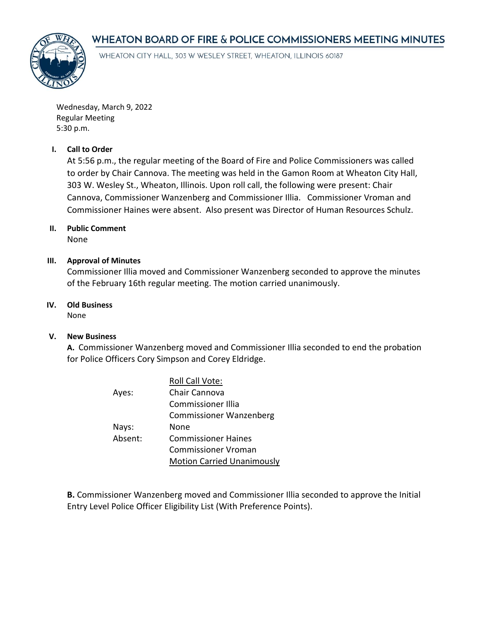# WHEATON BOARD OF FIRE & POLICE COMMISSIONERS MEETING MINUTES



WHEATON CITY HALL, 303 W WESLEY STREET, WHEATON, ILLINOIS 60187

Wednesday, March 9, 2022 Regular Meeting 5:30 p.m.

### **I. Call to Order**

At 5:56 p.m., the regular meeting of the Board of Fire and Police Commissioners was called to order by Chair Cannova. The meeting was held in the Gamon Room at Wheaton City Hall, 303 W. Wesley St., Wheaton, Illinois. Upon roll call, the following were present: Chair Cannova, Commissioner Wanzenberg and Commissioner Illia. Commissioner Vroman and Commissioner Haines were absent. Also present was Director of Human Resources Schulz.

# **II. Public Comment**

None

#### **III. Approval of Minutes**

Commissioner Illia moved and Commissioner Wanzenberg seconded to approve the minutes of the February 16th regular meeting. The motion carried unanimously.

## **IV. Old Business**

None

### **V. New Business**

**A.** Commissioner Wanzenberg moved and Commissioner Illia seconded to end the probation for Police Officers Cory Simpson and Corey Eldridge.

|         | Roll Call Vote:                   |
|---------|-----------------------------------|
| Ayes:   | Chair Cannova                     |
|         | <b>Commissioner Illia</b>         |
|         | <b>Commissioner Wanzenberg</b>    |
| Nays:   | None                              |
| Absent: | <b>Commissioner Haines</b>        |
|         | Commissioner Vroman               |
|         | <b>Motion Carried Unanimously</b> |

**B.** Commissioner Wanzenberg moved and Commissioner Illia seconded to approve the Initial Entry Level Police Officer Eligibility List (With Preference Points).